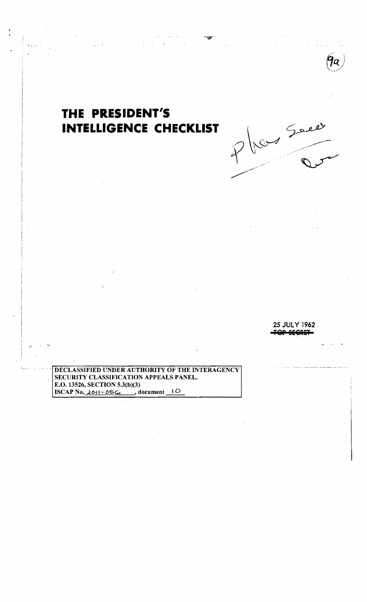

## THE PRESIDENT'S INTELLIGENCE CHECKLIST



har Sover

DECLASSIFIED UNDER AUTHORITY OF THE INTERAGENCY SECURITY CLASSIFICATION APPEALS PANEL. E.O. 13526, SECTION 5.3(b)(3) ISCAP No.  $201 - 056$ , document 10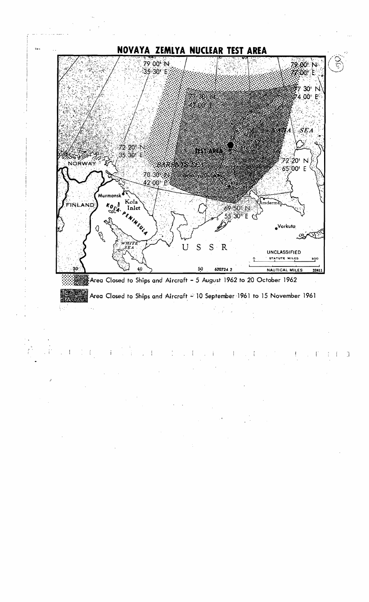

ing P

 $\label{eq:2} \mathcal{L} = \mathcal{L} \left( \mathcal{L} \right) \mathcal{L} \left( \mathcal{L} \right)$  $\sim$  1.  $\begin{array}{c} \begin{array}{c} 1 \\ 1 \end{array} & \begin{array}{c} 1 \\ 1 \end{array} & \begin{array}{c} 1 \\ 1 \end{array} & \begin{array}{c} 1 \\ 1 \end{array} & \begin{array}{c} 1 \\ 1 \end{array} & \begin{array}{c} 1 \\ 1 \end{array} & \begin{array}{c} 1 \\ 1 \end{array} & \begin{array}{c} 1 \\ 1 \end{array} & \begin{array}{c} 1 \\ 1 \end{array} & \begin{array}{c} 1 \\ 1 \end{array} & \begin{array}{c} 1 \\ 1 \end{array} & \begin{array}{c} 1 \\ 1 \end{$  $\frac{1}{2}$  $\sim 1$  ,  $\sim 1$  ,  $\sim$  $\Box$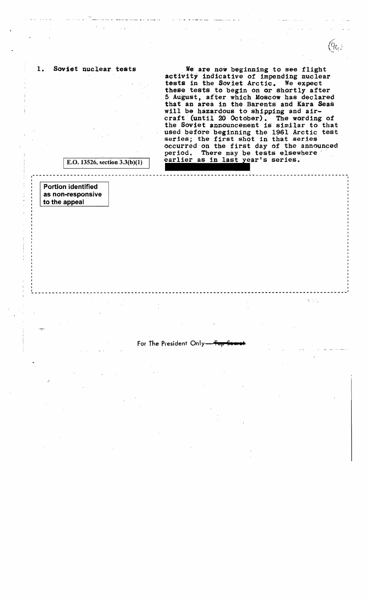1. Soviet nuclear tests

We are now beginning to see flight<br>activity indicative of impending nuclear tests in the Soviet Arctic. We expect these tests to begin on or shortly after 5 August, atter which Moscow has declared that an area in the Barents and Kara Seas will be hazardous to shipping and aircraft < (until 20 October). The wording of the Soviet announcement is similar to that used before beginning the 1961 Arctic test series; the first shot in that series occurred on the first day of the announced period. There may be tests elsewhere earlier as in last year's series.

 $\tau$  ,  $\tau$ 

E.O. 13526, section  $3.3(b)(1)$ 

Portion identified as non-responsive to the appeal

For The President Only-

 $-++++++$   $-++++++$   $-+++++$ 

--------------.~----------------------------------------------------------------------------I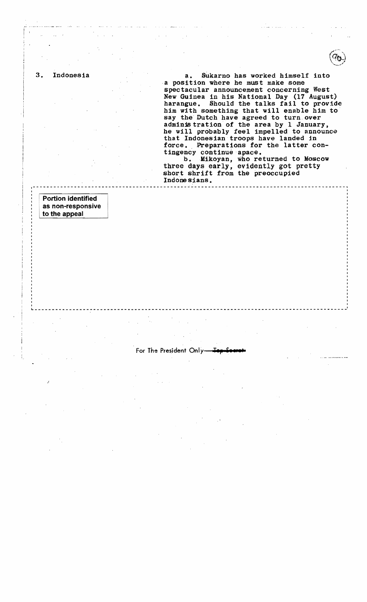3. Indonesia a. Sukarno has worked himself into a position where he must make some spectacular announcement concerning West New Guinea in his National Day (17 August) harangue. Should the talks fail to provide him with something that will enable him to say the Dutch have agreed to turn over adminis tration of the area by 1 January, he will probably feel impelled to announce that Indonesian troops have landed in force. Preparations for the latter con-<br>tingency continue apace.

b. Mikoyan, who returned to Moscow three days early, evidently got pretty short shrift from the preoccupied Indone sians. 1-------------------------------------------------------------------- ------.,I

I

Portion identified as non-responsive to the appeal

## For The President Only

If the contract of the contract of the contract of the contract of the contract of the contract of the contract of the contract of the contract of the contract of the contract of the contract of the contract of the contra ~------------------------------------------------------------------------------------------~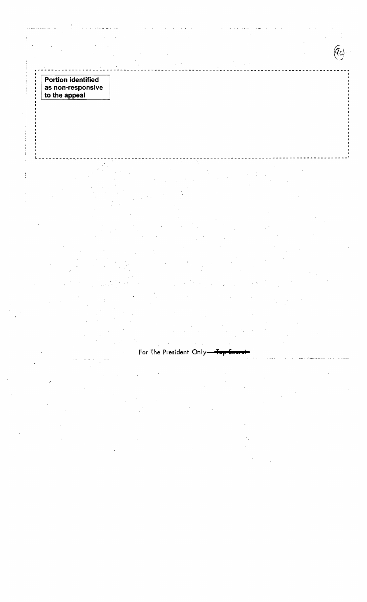**Portion identified** as non-responsive<br>to the appeal

 $\frac{1}{2}$ 

 $\left(\overline{q}_{\mathrm{a}}\right)$ 

For The President Only-